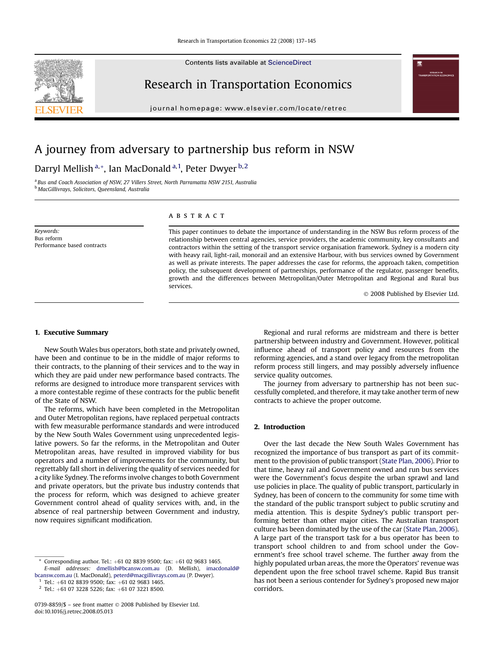Contents lists available at [ScienceDirect](www.sciencedirect.com/science/journal/07398859)

## Research in Transportation Economics

journal homepage: [www.elsevier.com/locate/retrec](http://www.elsevier.com/locate/retrec)

## A journey from adversary to partnership bus reform in NSW

### Darryl Mellish <sup>a,</sup>\*, Ian MacDonald <sup>a, 1</sup>, Peter Dwyer <sup>b, 2</sup>

<sup>a</sup> Bus and Coach Association of NSW, 27 Villers Street, North Parramatta NSW 2151, Australia **b MacGillivrays, Solicitors, Queensland, Australia** 

Keywords: Bus reform Performance based contracts

### ABSTRACT

This paper continues to debate the importance of understanding in the NSW Bus reform process of the relationship between central agencies, service providers, the academic community, key consultants and contractors within the setting of the transport service organisation framework. Sydney is a modern city with heavy rail, light-rail, monorail and an extensive Harbour, with bus services owned by Government as well as private interests. The paper addresses the case for reforms, the approach taken, competition policy, the subsequent development of partnerships, performance of the regulator, passenger benefits, growth and the differences between Metropolitan/Outer Metropolitan and Regional and Rural bus services.

- 2008 Published by Elsevier Ltd.

#### 1. Executive Summary

New South Wales bus operators, both state and privately owned, have been and continue to be in the middle of major reforms to their contracts, to the planning of their services and to the way in which they are paid under new performance based contracts. The reforms are designed to introduce more transparent services with a more contestable regime of these contracts for the public benefit of the State of NSW.

The reforms, which have been completed in the Metropolitan and Outer Metropolitan regions, have replaced perpetual contracts with few measurable performance standards and were introduced by the New South Wales Government using unprecedented legislative powers. So far the reforms, in the Metropolitan and Outer Metropolitan areas, have resulted in improved viability for bus operators and a number of improvements for the community, but regrettably fall short in delivering the quality of services needed for a city like Sydney. The reforms involve changes to both Government and private operators, but the private bus industry contends that the process for reform, which was designed to achieve greater Government control ahead of quality services with, and, in the absence of real partnership between Government and industry, now requires significant modification.

 $1$  Tel.: +61 02 8839 9500; fax: +61 02 9683 1465.

 $2$  Tel.: +61 07 3228 5226; fax: +61 07 3221 8500.

Regional and rural reforms are midstream and there is better partnership between industry and Government. However, political influence ahead of transport policy and resources from the reforming agencies, and a stand over legacy from the metropolitan reform process still lingers, and may possibly adversely influence service quality outcomes.

The journey from adversary to partnership has not been successfully completed, and therefore, it may take another term of new contracts to achieve the proper outcome.

#### 2. Introduction

Over the last decade the New South Wales Government has recognized the importance of bus transport as part of its commitment to the provision of public transport [\(State Plan, 2006\)](#page--1-0). Prior to that time, heavy rail and Government owned and run bus services were the Government's focus despite the urban sprawl and land use policies in place. The quality of public transport, particularly in Sydney, has been of concern to the community for some time with the standard of the public transport subject to public scrutiny and media attention. This is despite Sydney's public transport performing better than other major cities. The Australian transport culture has been dominated by the use of the car ([State Plan, 2006\)](#page--1-0). A large part of the transport task for a bus operator has been to transport school children to and from school under the Government's free school travel scheme. The further away from the highly populated urban areas, the more the Operators' revenue was dependent upon the free school travel scheme. Rapid Bus transit has not been a serious contender for Sydney's proposed new major corridors.





Corresponding author. Tel.:  $+61$  02 8839 9500; fax:  $+61$  02 9683 1465. E-mail addresses: [dmellish@bcansw.com.au](mailto:dmellish@bcansw.com.au) (D. Mellish), [imacdonald@](mailto:imacdonald@bcansw.com.au) [bcansw.com.au](mailto:imacdonald@bcansw.com.au) (I. MacDonald), [peterd@macgillivrays.com.au](mailto:peterd@macgillivrays.com.au) (P. Dwyer).

<sup>0739-8859/\$ –</sup> see front matter © 2008 Published by Elsevier Ltd. doi:10.1016/j.retrec.2008.05.013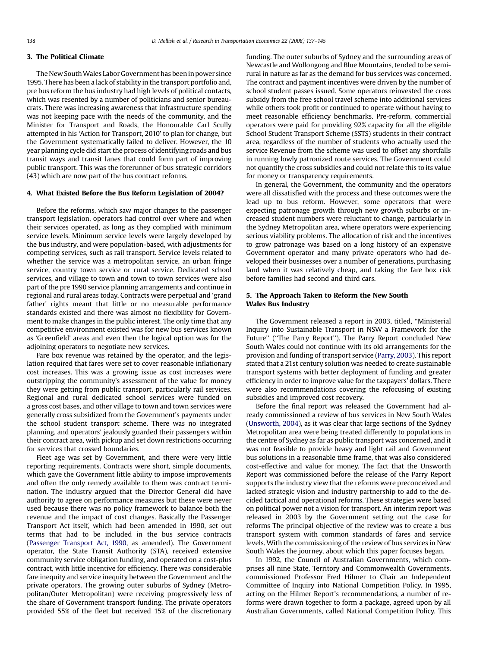#### 3. The Political Climate

The New South Wales Labor Government has been in power since 1995. There has been a lack of stability in the transport portfolio and, pre bus reform the bus industry had high levels of political contacts, which was resented by a number of politicians and senior bureaucrats. There was increasing awareness that infrastructure spending was not keeping pace with the needs of the community, and the Minister for Transport and Roads, the Honourable Carl Scully attempted in his 'Action for Transport, 2010' to plan for change, but the Government systematically failed to deliver. However, the 10 year planning cycle did start the process of identifying roads and bus transit ways and transit lanes that could form part of improving public transport. This was the forerunner of bus strategic corridors (43) which are now part of the bus contract reforms.

#### 4. What Existed Before the Bus Reform Legislation of 2004?

Before the reforms, which saw major changes to the passenger transport legislation, operators had control over where and when their services operated, as long as they complied with minimum service levels. Minimum service levels were largely developed by the bus industry, and were population-based, with adjustments for competing services, such as rail transport. Service levels related to whether the service was a metropolitan service, an urban fringe service, country town service or rural service. Dedicated school services, and village to town and town to town services were also part of the pre 1990 service planning arrangements and continue in regional and rural areas today. Contracts were perpetual and 'grand father' rights meant that little or no measurable performance standards existed and there was almost no flexibility for Government to make changes in the public interest. The only time that any competitive environment existed was for new bus services known as 'Greenfield' areas and even then the logical option was for the adjoining operators to negotiate new services.

Fare box revenue was retained by the operator, and the legislation required that fares were set to cover reasonable inflationary cost increases. This was a growing issue as cost increases were outstripping the community's assessment of the value for money they were getting from public transport, particularly rail services. Regional and rural dedicated school services were funded on a gross cost bases, and other village to town and town services were generally cross subsidized from the Government's payments under the school student transport scheme. There was no integrated planning, and operators' jealously guarded their passengers within their contract area, with pickup and set down restrictions occurring for services that crossed boundaries.

Fleet age was set by Government, and there were very little reporting requirements. Contracts were short, simple documents, which gave the Government little ability to impose improvements and often the only remedy available to them was contract termination. The industry argued that the Director General did have authority to agree on performance measures but these were never used because there was no policy framework to balance both the revenue and the impact of cost changes. Basically the Passenger Transport Act itself, which had been amended in 1990, set out terms that had to be included in the bus service contracts ([Passenger Transport Act, 1990,](#page--1-0) as amended). The Government operator, the State Transit Authority (STA), received extensive community service obligation funding, and operated on a cost-plus contract, with little incentive for efficiency. There was considerable fare inequity and service inequity between the Government and the private operators. The growing outer suburbs of Sydney (Metropolitan/Outer Metropolitan) were receiving progressively less of the share of Government transport funding. The private operators provided 55% of the fleet but received 15% of the discretionary funding. The outer suburbs of Sydney and the surrounding areas of Newcastle and Wollongong and Blue Mountains, tended to be semirural in nature as far as the demand for bus services was concerned. The contract and payment incentives were driven by the number of school student passes issued. Some operators reinvested the cross subsidy from the free school travel scheme into additional services while others took profit or continued to operate without having to meet reasonable efficiency benchmarks. Pre-reform, commercial operators were paid for providing 92% capacity for all the eligible School Student Transport Scheme (SSTS) students in their contract area, regardless of the number of students who actually used the service Revenue from the scheme was used to offset any shortfalls in running lowly patronized route services. The Government could not quantify the cross subsidies and could not relate this to its value for money or transparency requirements.

In general, the Government, the community and the operators were all dissatisfied with the process and these outcomes were the lead up to bus reform. However, some operators that were expecting patronage growth through new growth suburbs or increased student numbers were reluctant to change, particularly in the Sydney Metropolitan area, where operators were experiencing serious viability problems. The allocation of risk and the incentives to grow patronage was based on a long history of an expensive Government operator and many private operators who had developed their businesses over a number of generations, purchasing land when it was relatively cheap, and taking the fare box risk before families had second and third cars.

#### 5. The Approach Taken to Reform the New South Wales Bus Industry

The Government released a report in 2003, titled, ''Ministerial Inquiry into Sustainable Transport in NSW a Framework for the Future" ("The Parry Report"). The Parry Report concluded New South Wales could not continue with its old arrangements for the provision and funding of transport service ([Parry, 2003](#page--1-0)). This report stated that a 21st century solution was needed to create sustainable transport systems with better deployment of funding and greater efficiency in order to improve value for the taxpayers' dollars. There were also recommendations covering the refocusing of existing subsidies and improved cost recovery.

Before the final report was released the Government had already commissioned a review of bus services in New South Wales ([Unsworth, 2004\)](#page--1-0), as it was clear that large sections of the Sydney Metropolitan area were being treated differently to populations in the centre of Sydney as far as public transport was concerned, and it was not feasible to provide heavy and light rail and Government bus solutions in a reasonable time frame, that was also considered cost-effective and value for money. The fact that the Unsworth Report was commissioned before the release of the Parry Report supports the industry view that the reforms were preconceived and lacked strategic vision and industry partnership to add to the decided tactical and operational reforms. These strategies were based on political power not a vision for transport. An interim report was released in 2003 by the Government setting out the case for reforms The principal objective of the review was to create a bus transport system with common standards of fares and service levels. With the commissioning of the review of bus services in New South Wales the journey, about which this paper focuses began.

In 1992, the Council of Australian Governments, which comprises all nine State, Territory and Commonwealth Governments, commissioned Professor Fred Hilmer to Chair an Independent Committee of Inquiry into National Competition Policy. In 1995, acting on the Hilmer Report's recommendations, a number of reforms were drawn together to form a package, agreed upon by all Australian Governments, called National Competition Policy. This